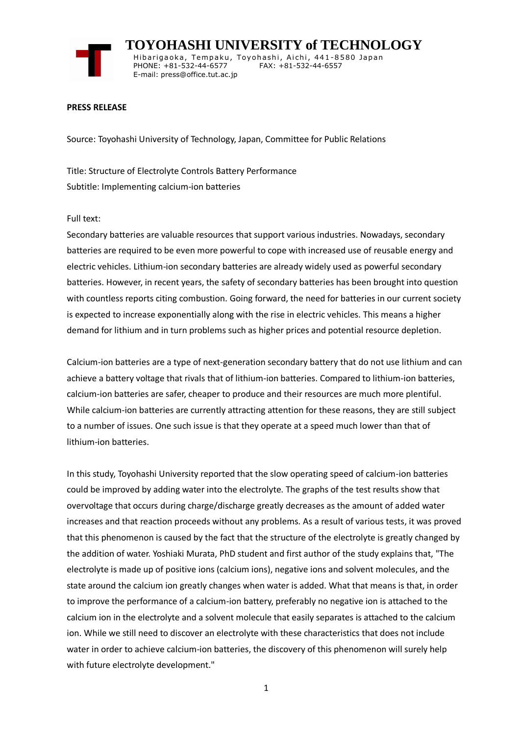

 **TOYOHASHI UNIVERSITY of TECHNOLOGY** Hibarigaoka, Tempaku, Toyohashi, Aichi, 441-8580 Japan PHONE: +81-532-44-6577 FAX: +81-532-44-6557 E-mail: press@office.tut.ac.jp

## **PRESS RELEASE**

Source: Toyohashi University of Technology, Japan, Committee for Public Relations

Title: Structure of Electrolyte Controls Battery Performance Subtitle: Implementing calcium-ion batteries

## Full text:

Secondary batteries are valuable resources that support various industries. Nowadays, secondary batteries are required to be even more powerful to cope with increased use of reusable energy and electric vehicles. Lithium-ion secondary batteries are already widely used as powerful secondary batteries. However, in recent years, the safety of secondary batteries has been brought into question with countless reports citing combustion. Going forward, the need for batteries in our current society is expected to increase exponentially along with the rise in electric vehicles. This means a higher demand for lithium and in turn problems such as higher prices and potential resource depletion.

Calcium-ion batteries are a type of next-generation secondary battery that do not use lithium and can achieve a battery voltage that rivals that of lithium-ion batteries. Compared to lithium-ion batteries, calcium-ion batteries are safer, cheaper to produce and their resources are much more plentiful. While calcium-ion batteries are currently attracting attention for these reasons, they are still subject to a number of issues. One such issue is that they operate at a speed much lower than that of lithium-ion batteries.

In this study, Toyohashi University reported that the slow operating speed of calcium-ion batteries could be improved by adding water into the electrolyte. The graphs of the test results show that overvoltage that occurs during charge/discharge greatly decreases as the amount of added water increases and that reaction proceeds without any problems. As a result of various tests, it was proved that this phenomenon is caused by the fact that the structure of the electrolyte is greatly changed by the addition of water. Yoshiaki Murata, PhD student and first author of the study explains that, "The electrolyte is made up of positive ions (calcium ions), negative ions and solvent molecules, and the state around the calcium ion greatly changes when water is added. What that means is that, in order to improve the performance of a calcium-ion battery, preferably no negative ion is attached to the calcium ion in the electrolyte and a solvent molecule that easily separates is attached to the calcium ion. While we still need to discover an electrolyte with these characteristics that does not include water in order to achieve calcium-ion batteries, the discovery of this phenomenon will surely help with future electrolyte development."

1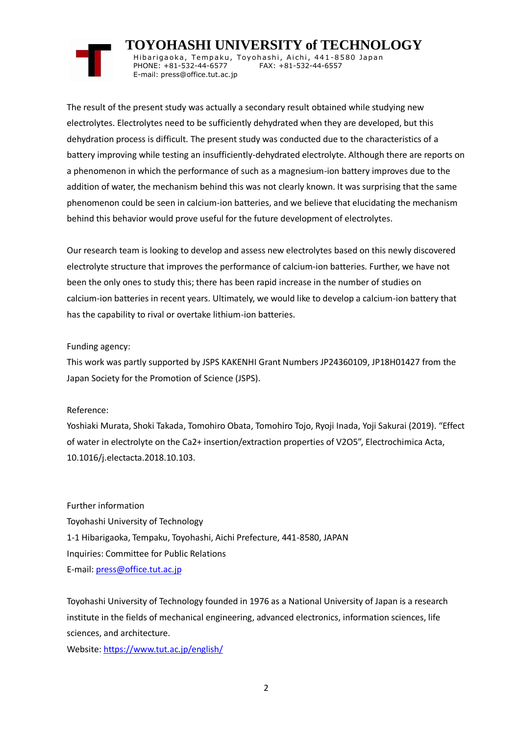## **TOYOHASHI UNIVERSITY of TECHNOLOGY**

Hibarigaoka, Tempaku, Toyohashi, Aichi, 441-8580 Japan PHONE: +81-532-44-6577 FAX: +81-532-44-6557 E-mail: press@office.tut.ac.jp

The result of the present study was actually a secondary result obtained while studying new electrolytes. Electrolytes need to be sufficiently dehydrated when they are developed, but this dehydration process is difficult. The present study was conducted due to the characteristics of a battery improving while testing an insufficiently-dehydrated electrolyte. Although there are reports on a phenomenon in which the performance of such as a magnesium-ion battery improves due to the addition of water, the mechanism behind this was not clearly known. It was surprising that the same phenomenon could be seen in calcium-ion batteries, and we believe that elucidating the mechanism behind this behavior would prove useful for the future development of electrolytes.

Our research team is looking to develop and assess new electrolytes based on this newly discovered electrolyte structure that improves the performance of calcium-ion batteries. Further, we have not been the only ones to study this; there has been rapid increase in the number of studies on calcium-ion batteries in recent years. Ultimately, we would like to develop a calcium-ion battery that has the capability to rival or overtake lithium-ion batteries.

## Funding agency:

This work was partly supported by JSPS KAKENHI Grant Numbers JP24360109, JP18H01427 from the Japan Society for the Promotion of Science (JSPS).

Reference:

Yoshiaki Murata, Shoki Takada, Tomohiro Obata, Tomohiro Tojo, Ryoji Inada, Yoji Sakurai (2019). "Effect of water in electrolyte on the Ca2+ insertion/extraction properties of V2O5", Electrochimica Acta, 10.1016/j.electacta.2018.10.103.

Further information Toyohashi University of Technology 1-1 Hibarigaoka, Tempaku, Toyohashi, Aichi Prefecture, 441-8580, JAPAN Inquiries: Committee for Public Relations E-mail: [press@office.tut.ac.jp](mailto:press@office.tut.ac.jp)

Toyohashi University of Technology founded in 1976 as a National University of Japan is a research institute in the fields of mechanical engineering, advanced electronics, information sciences, life sciences, and architecture.

Website[: https://www.tut.ac.jp/english/](https://www.tut.ac.jp/english/)